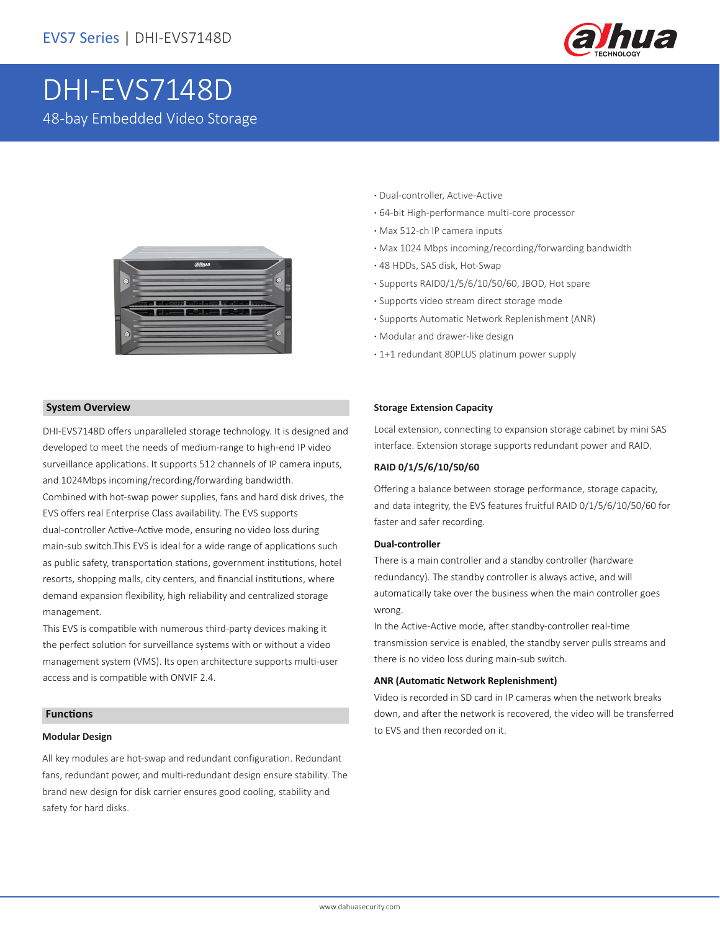

# DHI-EVS7148D 48-bay Embedded Video Storage



#### **System Overview**

DHI-EVS7148D offers unparalleled storage technology. It is designed and developed to meet the needs of medium-range to high-end IP video surveillance applications. It supports 512 channels of IP camera inputs, and 1024Mbps incoming/recording/forwarding bandwidth. Combined with hot-swap power supplies, fans and hard disk drives, the EVS offers real Enterprise Class availability. The EVS supports dual-controller Active-Active mode, ensuring no video loss during main-sub switch.This EVS is ideal for a wide range of applications such as public safety, transportation stations, government institutions, hotel resorts, shopping malls, city centers, and financial institutions, where demand expansion flexibility, high reliability and centralized storage management.

This EVS is compatible with numerous third-party devices making it the perfect solution for surveillance systems with or without a video management system (VMS). Its open architecture supports multi-user access and is compatible with ONVIF 2.4.

#### **Functions**

#### **Modular Design**

All key modules are hot-swap and redundant configuration. Redundant fans, redundant power, and multi-redundant design ensure stability. The brand new design for disk carrier ensures good cooling, stability and safety for hard disks.

- **·** Dual-controller, Active-Active
- **·** 64-bit High-performance multi-core processor
- **·** Max 512-ch IP camera inputs
- **·** Max 1024 Mbps incoming/recording/forwarding bandwidth
- **·** 48 HDDs, SAS disk, Hot-Swap
- **·** Supports RAID0/1/5/6/10/50/60, JBOD, Hot spare
- **·** Supports video stream direct storage mode
- **·** Supports Automatic Network Replenishment (ANR)
- **·** Modular and drawer-like design
- **·** 1+1 redundant 80PLUS platinum power supply

#### **Storage Extension Capacity**

Local extension, connecting to expansion storage cabinet by mini SAS interface. Extension storage supports redundant power and RAID.

#### **RAID 0/1/5/6/10/50/60**

Offering a balance between storage performance, storage capacity, and data integrity, the EVS features fruitful RAID 0/1/5/6/10/50/60 for faster and safer recording.

#### **Dual-controller**

There is a main controller and a standby controller (hardware redundancy). The standby controller is always active, and will automatically take over the business when the main controller goes wrong.

In the Active-Active mode, after standby-controller real-time transmission service is enabled, the standby server pulls streams and there is no video loss during main-sub switch.

#### **ANR (Automatic Network Replenishment)**

Video is recorded in SD card in IP cameras when the network breaks down, and after the network is recovered, the video will be transferred to EVS and then recorded on it.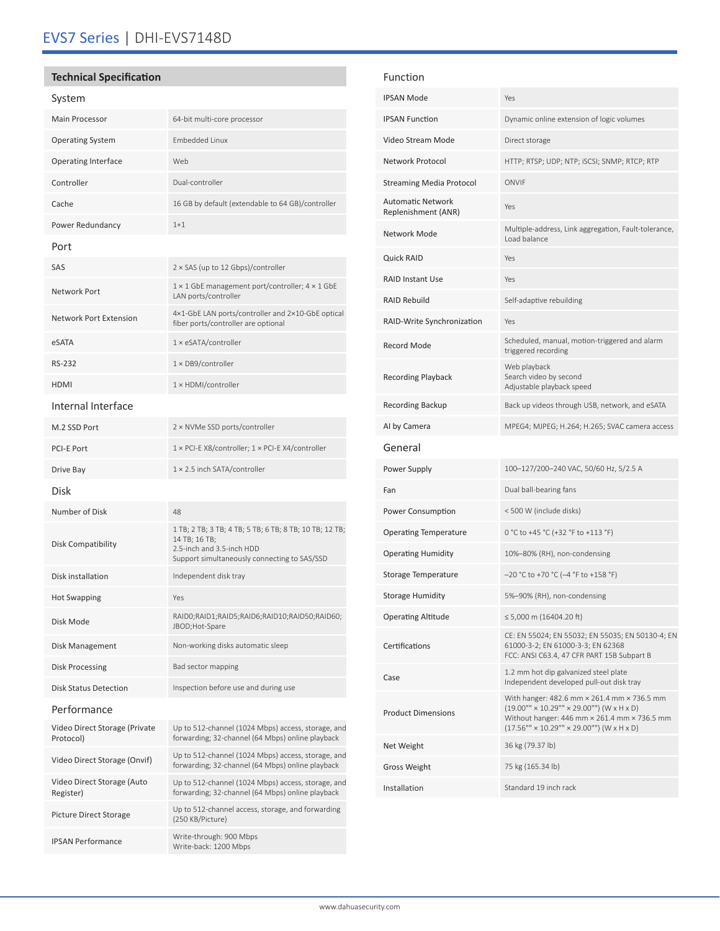# EVS7 Series | DHI-EVS7148D

## **Technical Specification**

## System

| <b>JYJLCIII</b>                            |                                                                                                                                                       |  |  |  |
|--------------------------------------------|-------------------------------------------------------------------------------------------------------------------------------------------------------|--|--|--|
| <b>Main Processor</b>                      | 64-bit multi-core processor                                                                                                                           |  |  |  |
| <b>Operating System</b>                    | <b>Embedded Linux</b>                                                                                                                                 |  |  |  |
| Operating Interface                        | Web                                                                                                                                                   |  |  |  |
| Controller                                 | Dual-controller                                                                                                                                       |  |  |  |
| Cache                                      | 16 GB by default (extendable to 64 GB)/controller                                                                                                     |  |  |  |
| Power Redundancy                           | $1+1$                                                                                                                                                 |  |  |  |
| Port                                       |                                                                                                                                                       |  |  |  |
| SAS                                        | $2 \times$ SAS (up to 12 Gbps)/controller                                                                                                             |  |  |  |
| <b>Network Port</b>                        | $1 \times 1$ GbE management port/controller; $4 \times 1$ GbE<br>LAN ports/controller                                                                 |  |  |  |
| <b>Network Port Extension</b>              | 4×1-GbE LAN ports/controller and 2×10-GbE optical<br>fiber ports/controller are optional                                                              |  |  |  |
| eSATA                                      | 1 × eSATA/controller                                                                                                                                  |  |  |  |
| <b>RS-232</b>                              | 1 × DB9/controller                                                                                                                                    |  |  |  |
| <b>HDMI</b>                                | 1 × HDMI/controller                                                                                                                                   |  |  |  |
| Internal Interface                         |                                                                                                                                                       |  |  |  |
| M.2 SSD Port                               | 2 × NVMe SSD ports/controller                                                                                                                         |  |  |  |
| <b>PCI-E Port</b>                          | 1 × PCI-E X8/controller; 1 × PCI-E X4/controller                                                                                                      |  |  |  |
| Drive Bay                                  | 1 × 2.5 inch SATA/controller                                                                                                                          |  |  |  |
| Disk                                       |                                                                                                                                                       |  |  |  |
| Number of Disk                             | 48                                                                                                                                                    |  |  |  |
| Disk Compatibility                         | 1 TB; 2 TB; 3 TB; 4 TB; 5 TB; 6 TB; 8 TB; 10 TB; 12 TB;<br>14 TB; 16 TB;<br>2.5-inch and 3.5-inch HDD<br>Support simultaneously connecting to SAS/SSD |  |  |  |
| Disk installation                          | Independent disk tray                                                                                                                                 |  |  |  |
| <b>Hot Swapping</b>                        | Yes                                                                                                                                                   |  |  |  |
| Disk Mode                                  | RAIDO;RAID1;RAID5;RAID6;RAID10;RAID50;RAID60;<br>JBOD;Hot-Spare                                                                                       |  |  |  |
| Disk Management                            | Non-working disks automatic sleep                                                                                                                     |  |  |  |
| <b>Disk Processing</b>                     | Bad sector mapping                                                                                                                                    |  |  |  |
| Disk Status Detection                      | Inspection before use and during use                                                                                                                  |  |  |  |
| Performance                                |                                                                                                                                                       |  |  |  |
| Video Direct Storage (Private<br>Protocol) | Up to 512-channel (1024 Mbps) access, storage, and<br>forwarding; 32-channel (64 Mbps) online playback                                                |  |  |  |
| Video Direct Storage (Onvif)               | Up to 512-channel (1024 Mbps) access, storage, and<br>forwarding; 32-channel (64 Mbps) online playback                                                |  |  |  |
| Video Direct Storage (Auto<br>Register)    | Up to 512-channel (1024 Mbps) access, storage, and<br>forwarding; 32-channel (64 Mbps) online playback                                                |  |  |  |
| Picture Direct Storage                     | Up to 512-channel access, storage, and forwarding<br>(250 KB/Picture)                                                                                 |  |  |  |
| <b>IPSAN Performance</b>                   | Write-through: 900 Mbps<br>Write-back: 1200 Mbps                                                                                                      |  |  |  |

| Function                                                                                                                                 |                                                                                                                                                                                                                     |
|------------------------------------------------------------------------------------------------------------------------------------------|---------------------------------------------------------------------------------------------------------------------------------------------------------------------------------------------------------------------|
| <b>IPSAN Mode</b>                                                                                                                        | Yes                                                                                                                                                                                                                 |
| <b>IPSAN Function</b>                                                                                                                    | Dynamic online extension of logic volumes                                                                                                                                                                           |
| Video Stream Mode                                                                                                                        | Direct storage                                                                                                                                                                                                      |
| Network Protocol                                                                                                                         | HTTP; RTSP; UDP; NTP; iSCSI; SNMP; RTCP; RTP                                                                                                                                                                        |
| <b>Streaming Media Protocol</b>                                                                                                          | ONVIF                                                                                                                                                                                                               |
| Automatic Network<br>Replenishment (ANR)                                                                                                 | Yes                                                                                                                                                                                                                 |
| Network Mode                                                                                                                             | Multiple-address, Link aggregation, Fault-tolerance,<br>Load balance                                                                                                                                                |
| <b>Quick RAID</b>                                                                                                                        | Yes                                                                                                                                                                                                                 |
| <b>RAID Instant Use</b>                                                                                                                  | Yes                                                                                                                                                                                                                 |
| <b>RAID Rebuild</b>                                                                                                                      | Self-adaptive rebuilding                                                                                                                                                                                            |
| RAID-Write Synchronization                                                                                                               | Yes                                                                                                                                                                                                                 |
| <b>Record Mode</b>                                                                                                                       | Scheduled, manual, motion-triggered and alarm<br>triggered recording                                                                                                                                                |
| <b>Recording Playback</b>                                                                                                                | Web playback<br>Search video by second<br>Adjustable playback speed                                                                                                                                                 |
| Recording Backup                                                                                                                         | Back up videos through USB, network, and eSATA                                                                                                                                                                      |
| Al by Camera                                                                                                                             | MPEG4; MJPEG; H.264; H.265; SVAC camera access                                                                                                                                                                      |
|                                                                                                                                          |                                                                                                                                                                                                                     |
| General                                                                                                                                  |                                                                                                                                                                                                                     |
| Power Supply                                                                                                                             | 100-127/200-240 VAC, 50/60 Hz, 5/2.5 A                                                                                                                                                                              |
| Fan                                                                                                                                      | Dual ball-bearing fans                                                                                                                                                                                              |
| Power Consumption                                                                                                                        | < 500 W (include disks)                                                                                                                                                                                             |
|                                                                                                                                          | 0 °C to +45 °C (+32 °F to +113 °F)                                                                                                                                                                                  |
|                                                                                                                                          | 10%-80% (RH), non-condensing                                                                                                                                                                                        |
|                                                                                                                                          | $-20$ °C to +70 °C (-4 °F to +158 °F)                                                                                                                                                                               |
|                                                                                                                                          | 5%-90% (RH), non-condensing                                                                                                                                                                                         |
| <b>Operating Temperature</b><br><b>Operating Humidity</b><br>Storage Temperature<br><b>Storage Humidity</b><br><b>Operating Altitude</b> | $\leq 5,000$ m (16404.20 ft)                                                                                                                                                                                        |
| Certifications                                                                                                                           | CE: EN 55024; EN 55032; EN 55035; EN 50130-4; EN<br>61000-3-2; EN 61000-3-3; EN 62368<br>FCC: ANSI C63.4, 47 CFR PART 15B Subpart B                                                                                 |
| Case                                                                                                                                     | 1.2 mm hot dip galvanized steel plate<br>Independent developed pull-out disk tray                                                                                                                                   |
| <b>Product Dimensions</b>                                                                                                                | With hanger: 482.6 mm × 261.4 mm × 736.5 mm<br>$(19.00''' \times 10.29''' \times 29.00''')$ (W x H x D)<br>Without hanger: 446 mm × 261.4 mm × 736.5 mm<br>$(17.56''' \times 10.29''' \times 29.00''')$ (W x H x D) |
| Net Weight                                                                                                                               | 36 kg (79.37 lb)                                                                                                                                                                                                    |
| Gross Weight                                                                                                                             | 75 kg (165.34 lb)                                                                                                                                                                                                   |
| Installation                                                                                                                             | Standard 19 inch rack                                                                                                                                                                                               |